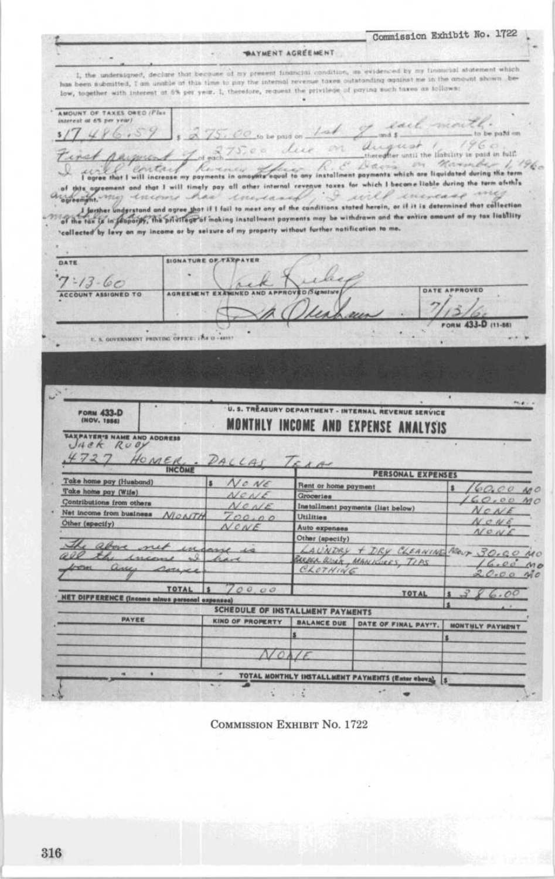Commission Exhibit No. 1722 **WAYMENT AGRÉEMENT** I, the undersigned, declare that become of my present financial condition, as evidenced by my financial statement which has been submitted, I am unable at this time to pay the internal revenue taxes outstanding against me in the amount shown, below, together with interest at 6% per year. I, therefore, request the privilege of paying such taxes as follows: AMOUNT OF TAXES ONED / Plus O.O. to be paid on Lat 9. exet mon  $3/7486.59$ in their worked comduguest / for factory is paid in bill du 75.00 due on First payment to green that I will increase my payments in amorphy board to any installment payments which are liquidated during the ferm  $1.191$ of this agreement and that I will timely pay all other internal reveaux taxes for which I became liable during the term afuth's case me common my encome has encreased · I will ine, I faither understand and agree that if I fail to meet any of the canditions stated herein, or if it is determined that collection of the tax is in the entire amount of my tax liability callected by levy on my income or by seizure of my property without further notification to me. **SIGNATURE OF TAXPAYER** DATE Þi  $7 - 13 - 60$  $\mathcal{L}$ **DATE ARPROVED** n Siensture AND ARE ACCOUNT ASSIGNED TO AGREEMENT EXA говы 433-D (11-86) E. S. GOVERNMENT PRINTING OFFICE: 176 O - 48517 U. S. TRÈASURY DEPARTMENT - INTERNAL REVENUE SERVICE  $F_1, F_2$ FORM 433-D MONTHLY INCOME AND EXPENSE ANALYSIS TAXPATER'S NAME AND ADDRESS HOMER,  $4727$  $\mathcal{A}$ x. PERSONAL EXPENSES Take home pay (Husband) No NE Rent or home payment 160.00 MO Take home pay (Wife) NONE Groceries  $160.001$ Contributions from others Installment payments (list below) NONE NONE Net income from business MONTH  $700.00$ Utilities NONE Other (specify) NONE Auto expenses NONE Other (specify) Other (apecity) + DRY CLEANING Neur 30.00 NO<br>BARRA RIGHT MANIFORS, TIPS (6.00 NO<br>CLOTHING 20.00 NO above net engang is **all** income have any coure TOTAL 5 700.00 TOTAL  $386.00$ **NET DIFFERENCE (Income minus personal expenses)** SCHEDULE OF INSTALLMENT PAYMENTS PAYEE KIND OF PROPERTY BALANCE DUE DATE OF FINAL PAY'T. MONTHLY PAYMENT NONE TOTAL MONTHLY INSTALLMENT PAYMENTS (Enter obova) 5

**COMMISSION EXHIBIT NO. 1722**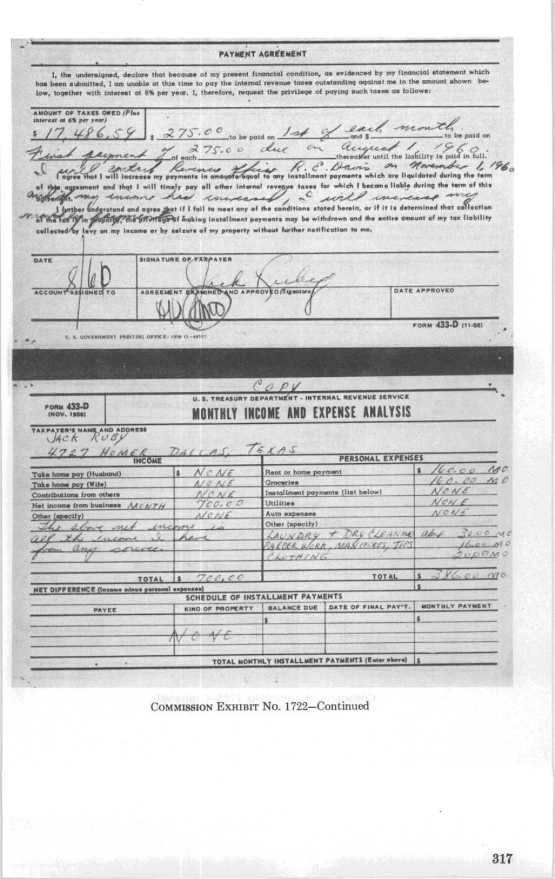PAYMENT AGREEMENT I, the undersigned, declare that because of my present financial condition, as evidenced by my financial statement which has been submitted, I am unable at this time to pay the internal revenue taxes outstanding against me in the amount shown below, together with interest at 6% per year. I, therefore, request the privilege of paying such taxes as follows: AMOUNT OF TAXES OWED (Plus me o  $17.486.$  $275.00$  to be paid on  $14$ be paid on 275.00 due accepted for Solid point  $\sim$ notary formains in amounts for form of the C. Bottom on Movements which are liquidated during the term metry on Movember 1, 1960 ent and that I will timely pay all other internal reveaue taxes for which I become liable during the term of this bright and the same had constant of the conditions stated herein, or if it is determined that collection for this property the enough of making installment payments may be withdrawn and the entire amount of my tax liability vy on my income or by selzure of my property without further notification to me. collected by le DATE **SIGNATURE OF TAXPAYER**  $\mu$ **ED** Signosure **DATE APPROVED ACCOUNT AGBEEMENT** AND AP **BOV FORM 433-D (11-56)** ٠  $u, s$ WEBRARY PERTHIC OFFICE: 1958  $A = 0.016$ OPV **U. S. TREASURY DEPARTMEN** - INTERNAL REVENUE SERVICE FORM 433-D MONTHLY INCOME AND EXPENSE ANALYSIS TAXPAYER'S NAME AND ADDRESS  $H \circ M \in \mathcal{K}_{\text{INCOME}}$ KAS  $4727$ PERSONAL EXPENSES  $160.00$  $140$  $N$ CNE Rent or home payment  $\overline{\mathbf{r}}$ k Take home pay (Husband)  $160.00$ MO Groceries NO NE Take home pay (Wife) NONE Installment payments (list below) Contributions from others NONE  $700.00$  $NCNE$ Utilities Net income from business MONTH NONE Auto expenses Other (specify) NONE Other (specify) e alore net encome LAUNDRY + DRY CLEANING aby  $30.00 \, Me$ Il the income hart  $16.00~M<sub>0</sub>$ ARDER WORK, MANICURES, TIPS on any source ODOMO CLUTHING  $\alpha$  $700,00$ TOTAL × TOTAL İs. **NET DIFFERENCE (Income minus personal expenses)** SCHEDULE OF INSTALLMENT PAYMENTS KIND OF PROPERTY | BALANCE DUE | DATE OF FINAL PAY'T. MONTHLY PAYMENT PAYEE  $A$ TOTAL MONTHLY INSTALLMENT PAYMENTS (Enter above) |S

COMMISSION EXHIBIT No. 1722-Continued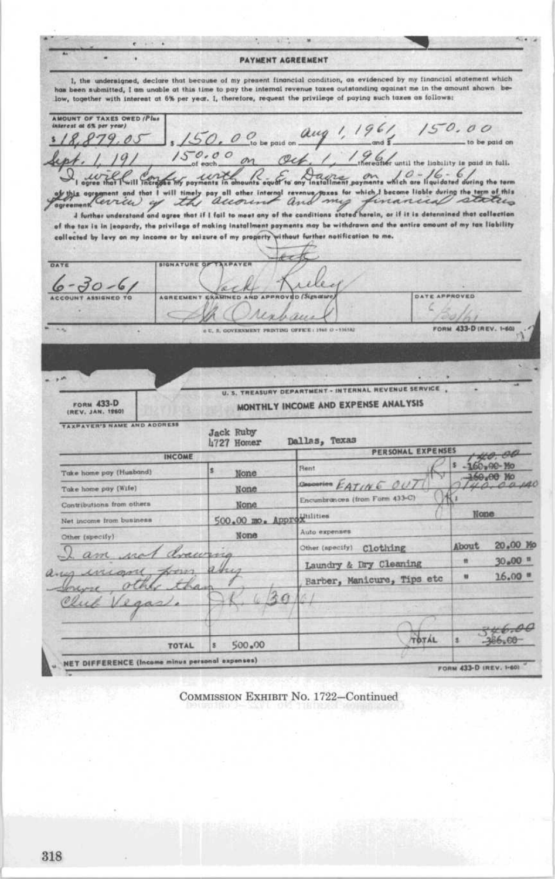The company's property of the  $\cdot$  . **PAYMENT AGREEMENT** 1, the undersigned, declare that because of my present financial condition, as evidenced by my financial statement which has been submitted, I am unable at this time to pay the internal revenue taxes outstanding against me in the amount shown below, together with interest at 6% per year. 1, therefore, request the privilege of paying such taxes as follows: AMOUNT OF TAXES OWED (Plus  $150.00$ aug  $150.0$  obe paid on  $\boldsymbol{Q}$ p to be paid on 96 of until the liability is paid in full. ted during the term thxes for which I become liable during the term will timely pay all other internal revenue<br>according and of this auoun my inancial I further understand and agree that if I fail to meet any of the conditions stated herein, or if it is determined that collection of the tax is in jeopardy, the privilege of making installment payments may be withdrawn and the entire amount of my tax liability without further notification to me. collected by levy on my income or by seizure of my property DATE SIGNATURE OF  $30 - 6$ DATE APPROVED **AGREEMEN** FORM 433-D (REV. 1-60) PRINTING OFFICE: 1940 O - 516582 U. S. TREASURY DEPARTMENT - INTERNAL REVENUE SERVICE MONTHLY INCOME AND EXPENSE ANALYSIS FORM 433-D TAXPAYER'S NAME AND ADDRESS **Jack Ruby** Dallas, Texas 4727 Homer PERSONAL EXPENSES 40.00 **INCOME** × 160-90-Mo Rent s. Take home pay (Husband) None 60.00 Mo Generica EATING OUI Take home pay (Wife) None Encumbrances (from Form 433-C) Contributions from others None 500.00 mo. Approximities **None** Net income from business Auto expenses Other (specify) None About 20.00 Mo Other (apecify) Clothing and  $30*00$  = × Laundry & Dry Cleaning ñ.  $16.00$   $"$ ü Barber, Manicure, Tips etc 46.00 TOTÁL 386.00 TOTAL  $500 - 00$  $\overline{\mathbf{x}}$ **NET DIFFERENCE (Income minus personal expenses)** FORM 433-D IREV. 1-601

COMMISSION EXHIBIT No. 1722-Continued